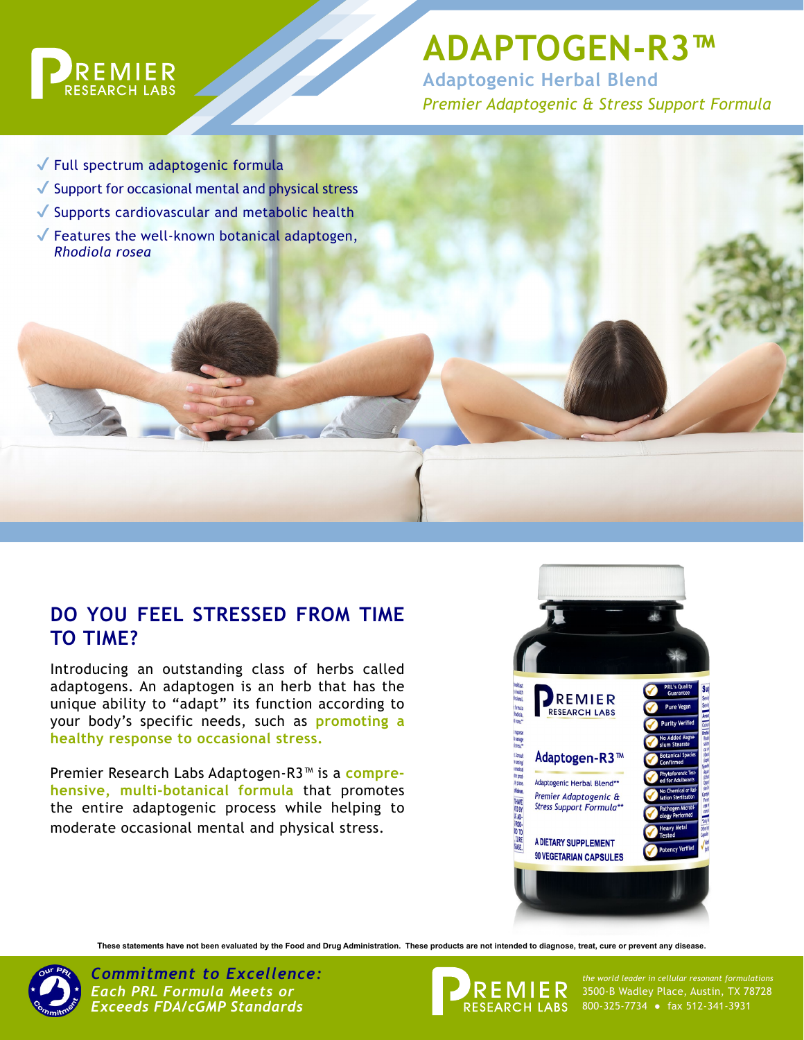

# **ADAPTOGEN-R3™**

**Adaptogenic Herbal Blend** *Premier Adaptogenic & Stress Support Formula*

✔ Full spectrum adaptogenic formula ◆ Support for occasional mental and physical stress ◆ Supports cardiovascular and metabolic health  $\sqrt{\ }$  Features the well-known botanical adaptogen, *Rhodiola rosea*

## **DO YOU FEEL STRESSED FROM TIME TO TIME?**

Introducing an outstanding class of herbs called adaptogens. An adaptogen is an herb that has the unique ability to "adapt" its function according to your body's specific needs, such as **promoting a healthy response to occasional stress.**

Premier Research Labs Adaptogen-R3™ is a **comprehensive, multi-botanical formula** that promotes the entire adaptogenic process while helping to moderate occasional mental and physical stress.



**These statements have not been evaluated by the Food and Drug Administration. These products are not intended to diagnose, treat, cure or prevent any disease.**



*Commitment to Excellence: the world leader in cellular resonant formulations Each PRL Formula Meets or Exceeds FDA/cGMP Standards*



3500-B Wadley Place, Austin, TX 78728 800-325-7734 ● fax 512-341-3931